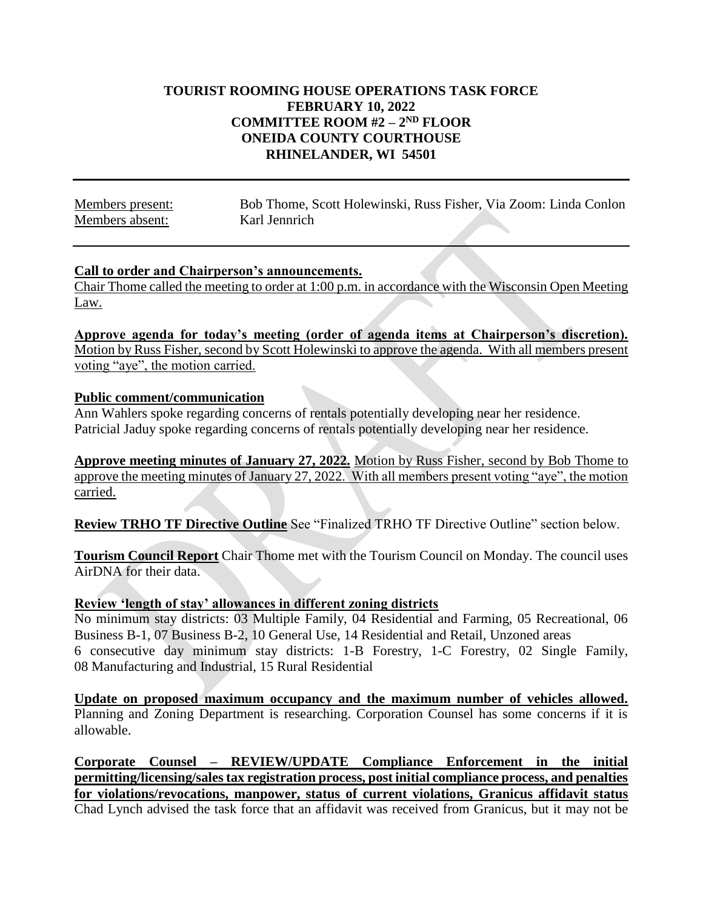#### **TOURIST ROOMING HOUSE OPERATIONS TASK FORCE FEBRUARY 10, 2022 COMMITTEE ROOM #2 – 2 ND FLOOR ONEIDA COUNTY COURTHOUSE RHINELANDER, WI 54501**

Members present: Bob Thome, Scott Holewinski, Russ Fisher, Via Zoom: Linda Conlon Members absent: Karl Jennrich

#### **Call to order and Chairperson's announcements.**

Chair Thome called the meeting to order at 1:00 p.m. in accordance with the Wisconsin Open Meeting Law.

**Approve agenda for today's meeting (order of agenda items at Chairperson's discretion).** Motion by Russ Fisher, second by Scott Holewinski to approve the agenda. With all members present voting "aye", the motion carried.

#### **Public comment/communication**

Ann Wahlers spoke regarding concerns of rentals potentially developing near her residence. Patricial Jaduy spoke regarding concerns of rentals potentially developing near her residence.

**Approve meeting minutes of January 27, 2022.** Motion by Russ Fisher, second by Bob Thome to approve the meeting minutes of January 27, 2022. With all members present voting "aye", the motion carried.

**Review TRHO TF Directive Outline** See "Finalized TRHO TF Directive Outline" section below.

**Tourism Council Report** Chair Thome met with the Tourism Council on Monday. The council uses AirDNA for their data.

#### **Review 'length of stay' allowances in different zoning districts**

No minimum stay districts: 03 Multiple Family, 04 Residential and Farming, 05 Recreational, 06 Business B-1, 07 Business B-2, 10 General Use, 14 Residential and Retail, Unzoned areas 6 consecutive day minimum stay districts: 1-B Forestry, 1-C Forestry, 02 Single Family, 08 Manufacturing and Industrial, 15 Rural Residential

**Update on proposed maximum occupancy and the maximum number of vehicles allowed.** Planning and Zoning Department is researching. Corporation Counsel has some concerns if it is allowable.

**Corporate Counsel – REVIEW/UPDATE Compliance Enforcement in the initial permitting/licensing/sales tax registration process, post initial compliance process, and penalties for violations/revocations, manpower, status of current violations, Granicus affidavit status** Chad Lynch advised the task force that an affidavit was received from Granicus, but it may not be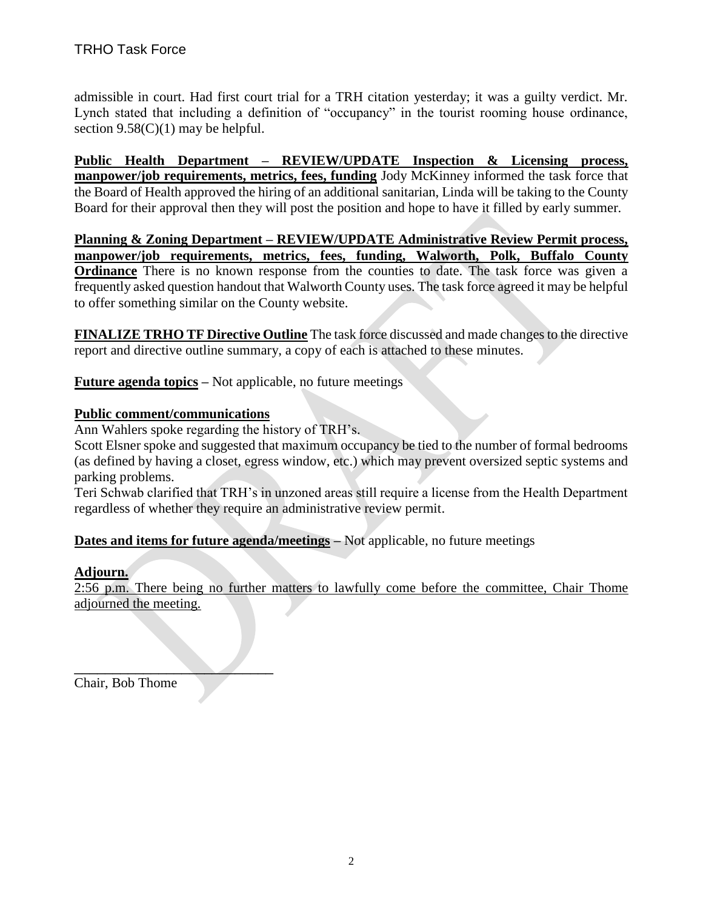admissible in court. Had first court trial for a TRH citation yesterday; it was a guilty verdict. Mr. Lynch stated that including a definition of "occupancy" in the tourist rooming house ordinance, section  $9.58(C)(1)$  may be helpful.

**Public Health Department – REVIEW/UPDATE Inspection & Licensing process, manpower/job requirements, metrics, fees, funding** Jody McKinney informed the task force that the Board of Health approved the hiring of an additional sanitarian, Linda will be taking to the County Board for their approval then they will post the position and hope to have it filled by early summer.

**Planning & Zoning Department – REVIEW/UPDATE Administrative Review Permit process, manpower/job requirements, metrics, fees, funding, Walworth, Polk, Buffalo County Ordinance** There is no known response from the counties to date. The task force was given a frequently asked question handout that Walworth County uses. The task force agreed it may be helpful to offer something similar on the County website.

**FINALIZE TRHO TF Directive Outline** The task force discussed and made changes to the directive report and directive outline summary, a copy of each is attached to these minutes.

**Future agenda topics –** Not applicable, no future meetings

#### **Public comment/communications**

Ann Wahlers spoke regarding the history of TRH's.

Scott Elsner spoke and suggested that maximum occupancy be tied to the number of formal bedrooms (as defined by having a closet, egress window, etc.) which may prevent oversized septic systems and parking problems.

Teri Schwab clarified that TRH's in unzoned areas still require a license from the Health Department regardless of whether they require an administrative review permit.

**Dates and items for future agenda/meetings –** Not applicable, no future meetings

#### **Adjourn.**

2:56 p.m. There being no further matters to lawfully come before the committee, Chair Thome adjourned the meeting.

Chair, Bob Thome

\_\_\_\_\_\_\_\_\_\_\_\_\_\_\_\_\_\_\_\_\_\_\_\_\_\_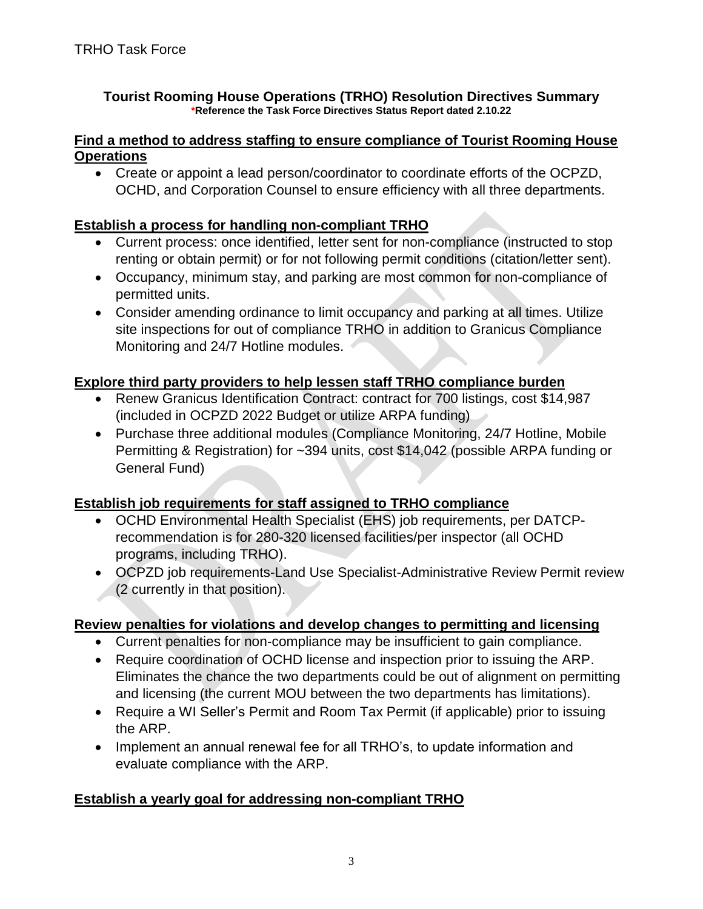#### **Tourist Rooming House Operations (TRHO) Resolution Directives Summary \*Reference the Task Force Directives Status Report dated 2.10.22**

#### **Find a method to address staffing to ensure compliance of Tourist Rooming House Operations**

 Create or appoint a lead person/coordinator to coordinate efforts of the OCPZD, OCHD, and Corporation Counsel to ensure efficiency with all three departments.

### **Establish a process for handling non-compliant TRHO**

- Current process: once identified, letter sent for non-compliance (instructed to stop renting or obtain permit) or for not following permit conditions (citation/letter sent).
- Occupancy, minimum stay, and parking are most common for non-compliance of permitted units.
- Consider amending ordinance to limit occupancy and parking at all times. Utilize site inspections for out of compliance TRHO in addition to Granicus Compliance Monitoring and 24/7 Hotline modules.

## **Explore third party providers to help lessen staff TRHO compliance burden**

- Renew Granicus Identification Contract: contract for 700 listings, cost \$14,987 (included in OCPZD 2022 Budget or utilize ARPA funding)
- Purchase three additional modules (Compliance Monitoring, 24/7 Hotline, Mobile Permitting & Registration) for ~394 units, cost \$14,042 (possible ARPA funding or General Fund)

## **Establish job requirements for staff assigned to TRHO compliance**

- OCHD Environmental Health Specialist (EHS) job requirements, per DATCPrecommendation is for 280-320 licensed facilities/per inspector (all OCHD programs, including TRHO).
- OCPZD job requirements-Land Use Specialist-Administrative Review Permit review (2 currently in that position).

## **Review penalties for violations and develop changes to permitting and licensing**

- Current penalties for non-compliance may be insufficient to gain compliance.
- Require coordination of OCHD license and inspection prior to issuing the ARP. Eliminates the chance the two departments could be out of alignment on permitting and licensing (the current MOU between the two departments has limitations).
- Require a WI Seller's Permit and Room Tax Permit (if applicable) prior to issuing the ARP.
- Implement an annual renewal fee for all TRHO's, to update information and evaluate compliance with the ARP.

## **Establish a yearly goal for addressing non-compliant TRHO**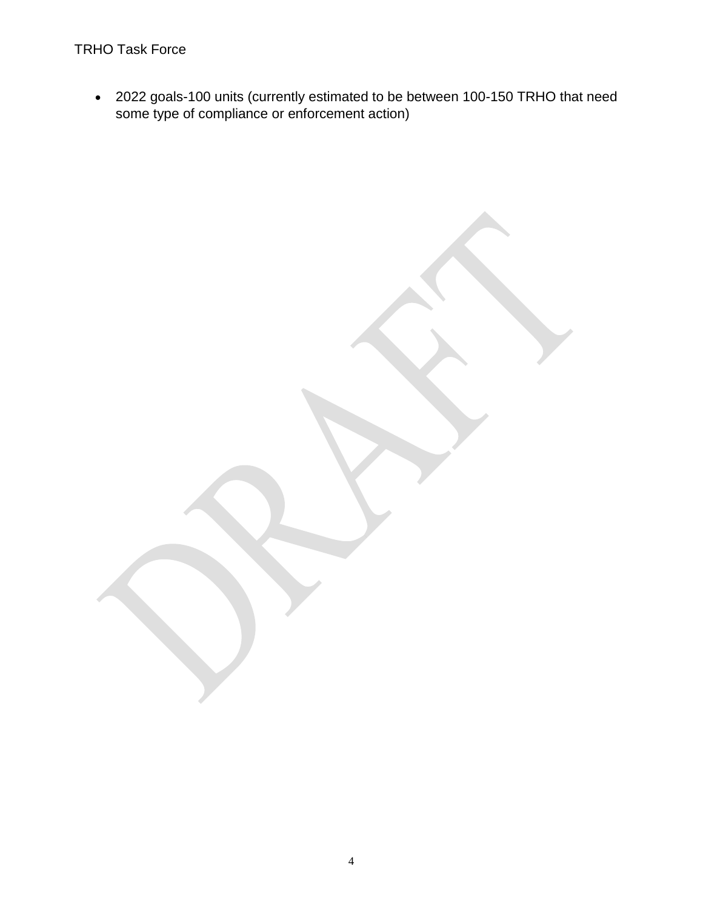# TRHO Task Force

 2022 goals-100 units (currently estimated to be between 100-150 TRHO that need some type of compliance or enforcement action)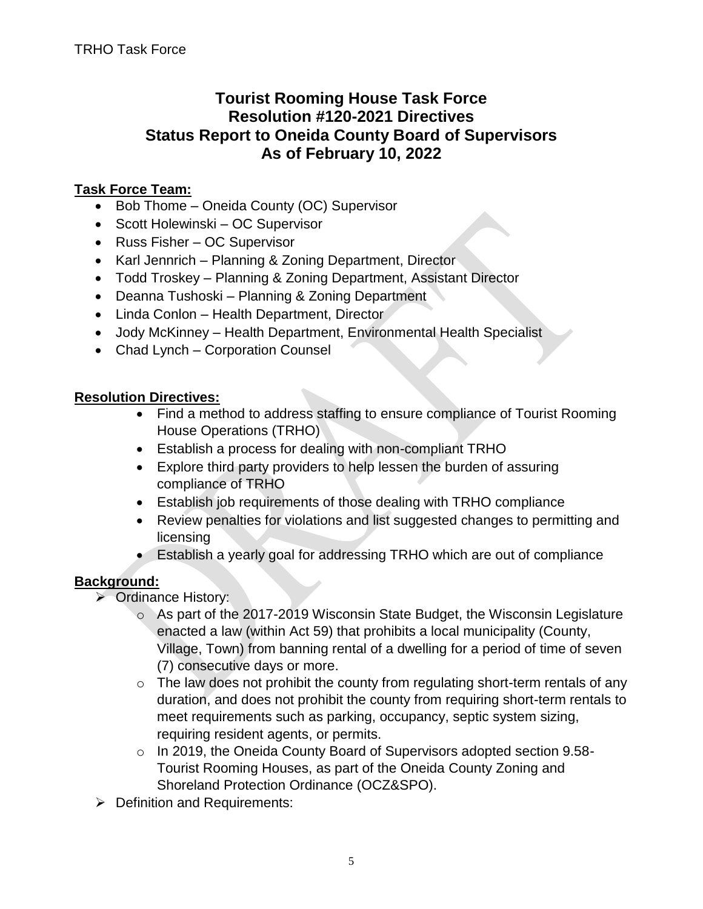# **Tourist Rooming House Task Force Resolution #120-2021 Directives Status Report to Oneida County Board of Supervisors As of February 10, 2022**

# **Task Force Team:**

- Bob Thome Oneida County (OC) Supervisor
- Scott Holewinski OC Supervisor
- Russ Fisher OC Supervisor
- Karl Jennrich Planning & Zoning Department, Director
- Todd Troskey Planning & Zoning Department, Assistant Director
- Deanna Tushoski Planning & Zoning Department
- Linda Conlon Health Department, Director
- Jody McKinney Health Department, Environmental Health Specialist
- Chad Lynch Corporation Counsel

## **Resolution Directives:**

- Find a method to address staffing to ensure compliance of Tourist Rooming House Operations (TRHO)
- Establish a process for dealing with non-compliant TRHO
- Explore third party providers to help lessen the burden of assuring compliance of TRHO
- Establish job requirements of those dealing with TRHO compliance
- Review penalties for violations and list suggested changes to permitting and licensing
- Establish a yearly goal for addressing TRHO which are out of compliance

## **Background:**

- **▶ Ordinance History:** 
	- o As part of the 2017-2019 Wisconsin State Budget, the Wisconsin Legislature enacted a law (within Act 59) that prohibits a local municipality (County, Village, Town) from banning rental of a dwelling for a period of time of seven (7) consecutive days or more.
	- $\circ$  The law does not prohibit the county from regulating short-term rentals of any duration, and does not prohibit the county from requiring short-term rentals to meet requirements such as parking, occupancy, septic system sizing, requiring resident agents, or permits.
	- o In 2019, the Oneida County Board of Supervisors adopted section 9.58- Tourist Rooming Houses, as part of the Oneida County Zoning and Shoreland Protection Ordinance (OCZ&SPO).
- $\triangleright$  Definition and Requirements: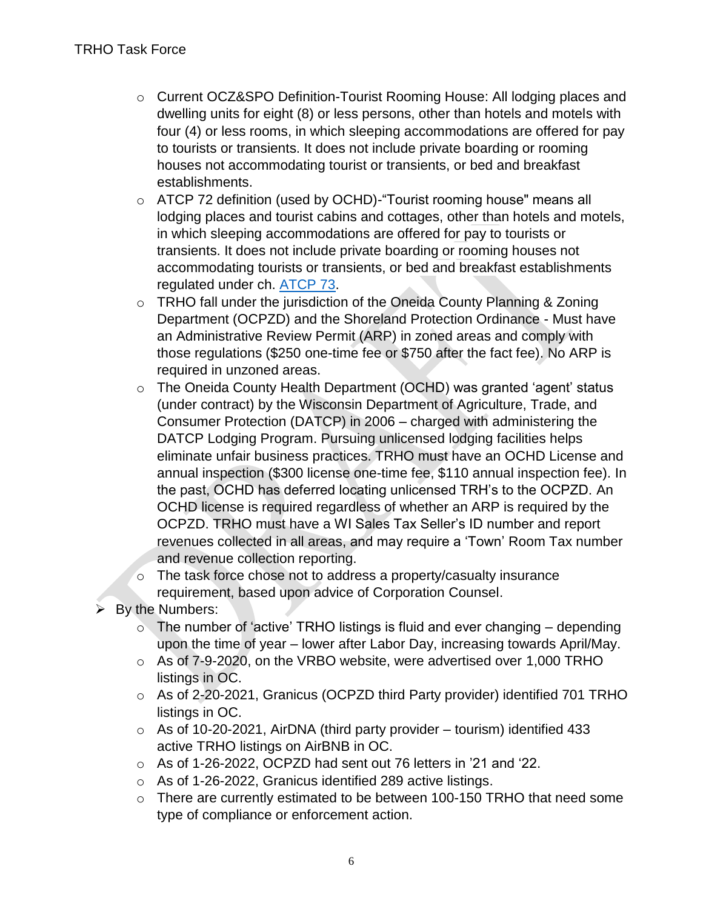- o Current OCZ&SPO Definition-Tourist Rooming House: All lodging places and dwelling units for eight (8) or less persons, other than hotels and motels with four (4) or less rooms, in which sleeping accommodations are offered for pay to tourists or transients. It does not include private boarding or rooming houses not accommodating tourist or transients, or bed and breakfast establishments.
- o ATCP 72 definition (used by OCHD)-"Tourist rooming house" means all lodging places and tourist cabins and cottages, other than hotels and motels, in which sleeping accommodations are offered for pay to tourists or transients. It does not include private boarding or rooming houses not accommodating tourists or transients, or bed and breakfast establishments regulated under ch. [ATCP 73.](https://docs.legis.wisconsin.gov/document/administrativecode/ch.%20ATCP%2073)
- o TRHO fall under the jurisdiction of the Oneida County Planning & Zoning Department (OCPZD) and the Shoreland Protection Ordinance - Must have an Administrative Review Permit (ARP) in zoned areas and comply with those regulations (\$250 one-time fee or \$750 after the fact fee). No ARP is required in unzoned areas.
- o The Oneida County Health Department (OCHD) was granted 'agent' status (under contract) by the Wisconsin Department of Agriculture, Trade, and Consumer Protection (DATCP) in 2006 – charged with administering the DATCP Lodging Program. Pursuing unlicensed lodging facilities helps eliminate unfair business practices. TRHO must have an OCHD License and annual inspection (\$300 license one-time fee, \$110 annual inspection fee). In the past, OCHD has deferred locating unlicensed TRH's to the OCPZD. An OCHD license is required regardless of whether an ARP is required by the OCPZD. TRHO must have a WI Sales Tax Seller's ID number and report revenues collected in all areas, and may require a 'Town' Room Tax number and revenue collection reporting.
- o The task force chose not to address a property/casualty insurance requirement, based upon advice of Corporation Counsel.
- $\triangleright$  By the Numbers:
	- $\circ$  The number of 'active' TRHO listings is fluid and ever changing depending upon the time of year – lower after Labor Day, increasing towards April/May.
	- o As of 7-9-2020, on the VRBO website, were advertised over 1,000 TRHO listings in OC.
	- o As of 2-20-2021, Granicus (OCPZD third Party provider) identified 701 TRHO listings in OC.
	- $\circ$  As of 10-20-2021, AirDNA (third party provider tourism) identified 433 active TRHO listings on AirBNB in OC.
	- o As of 1-26-2022, OCPZD had sent out 76 letters in '21 and '22.
	- o As of 1-26-2022, Granicus identified 289 active listings.
	- o There are currently estimated to be between 100-150 TRHO that need some type of compliance or enforcement action.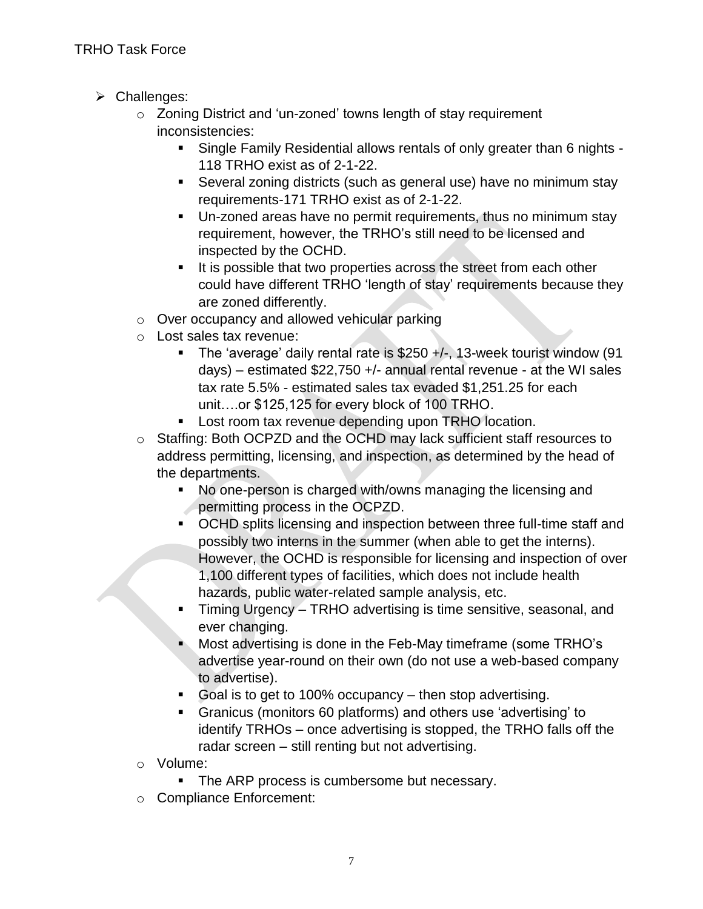- > Challenges:
	- o Zoning District and 'un-zoned' towns length of stay requirement inconsistencies:
		- Single Family Residential allows rentals of only greater than 6 nights 118 TRHO exist as of 2-1-22.
		- Several zoning districts (such as general use) have no minimum stay requirements-171 TRHO exist as of 2-1-22.
		- Un-zoned areas have no permit requirements, thus no minimum stay requirement, however, the TRHO's still need to be licensed and inspected by the OCHD.
		- It is possible that two properties across the street from each other could have different TRHO 'length of stay' requirements because they are zoned differently.
	- o Over occupancy and allowed vehicular parking
	- o Lost sales tax revenue:
		- The 'average' daily rental rate is  $$250 +/-$ , 13-week tourist window (91 days) – estimated  $$22,750 +/-$  annual rental revenue - at the WI sales tax rate 5.5% - estimated sales tax evaded \$1,251.25 for each unit….or \$125,125 for every block of 100 TRHO.
		- **Lost room tax revenue depending upon TRHO location.**
	- o Staffing: Both OCPZD and the OCHD may lack sufficient staff resources to address permitting, licensing, and inspection, as determined by the head of the departments.
		- No one-person is charged with/owns managing the licensing and permitting process in the OCPZD.
		- **OCHD splits licensing and inspection between three full-time staff and** possibly two interns in the summer (when able to get the interns). However, the OCHD is responsible for licensing and inspection of over 1,100 different types of facilities, which does not include health hazards, public water-related sample analysis, etc.
		- Timing Urgency TRHO advertising is time sensitive, seasonal, and ever changing.
		- **Most advertising is done in the Feb-May timeframe (some TRHO's** advertise year-round on their own (do not use a web-based company to advertise).
		- Goal is to get to 100% occupancy then stop advertising.
		- Granicus (monitors 60 platforms) and others use 'advertising' to identify TRHOs – once advertising is stopped, the TRHO falls off the radar screen – still renting but not advertising.
	- o Volume:
		- The ARP process is cumbersome but necessary.
	- o Compliance Enforcement: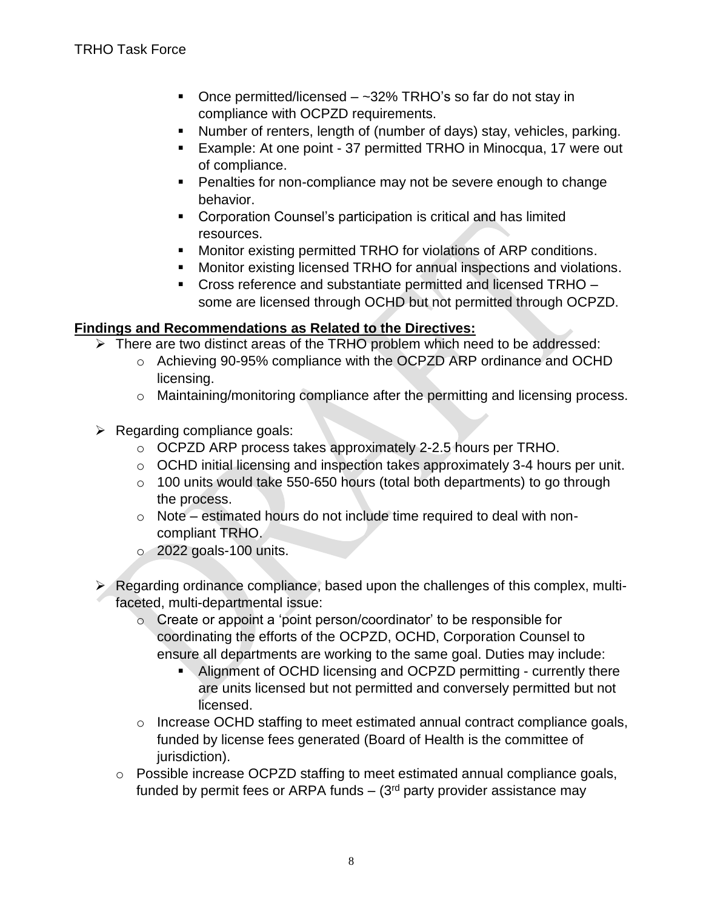- Once permitted/licensed  $-$  ~32% TRHO's so far do not stay in compliance with OCPZD requirements.
- Number of renters, length of (number of days) stay, vehicles, parking.
- Example: At one point 37 permitted TRHO in Minocqua, 17 were out of compliance.
- **Penalties for non-compliance may not be severe enough to change** behavior.
- **Corporation Counsel's participation is critical and has limited** resources.
- **Monitor existing permitted TRHO for violations of ARP conditions.**
- Monitor existing licensed TRHO for annual inspections and violations.
- Cross reference and substantiate permitted and licensed TRHO some are licensed through OCHD but not permitted through OCPZD.

#### **Findings and Recommendations as Related to the Directives:**

- > There are two distinct areas of the TRHO problem which need to be addressed:
	- o Achieving 90-95% compliance with the OCPZD ARP ordinance and OCHD licensing.
	- o Maintaining/monitoring compliance after the permitting and licensing process.
- $\triangleright$  Regarding compliance goals:
	- o OCPZD ARP process takes approximately 2-2.5 hours per TRHO.
	- o OCHD initial licensing and inspection takes approximately 3-4 hours per unit.
	- o 100 units would take 550-650 hours (total both departments) to go through the process.
	- o Note estimated hours do not include time required to deal with noncompliant TRHO.
	- $\circ$  2022 goals-100 units.
- Regarding ordinance compliance, based upon the challenges of this complex, multifaceted, multi-departmental issue:
	- o Create or appoint a 'point person/coordinator' to be responsible for coordinating the efforts of the OCPZD, OCHD, Corporation Counsel to ensure all departments are working to the same goal. Duties may include:
		- Alignment of OCHD licensing and OCPZD permitting currently there are units licensed but not permitted and conversely permitted but not licensed.
	- o Increase OCHD staffing to meet estimated annual contract compliance goals, funded by license fees generated (Board of Health is the committee of jurisdiction).
	- o Possible increase OCPZD staffing to meet estimated annual compliance goals, funded by permit fees or ARPA funds  $-$  (3<sup>rd</sup> party provider assistance may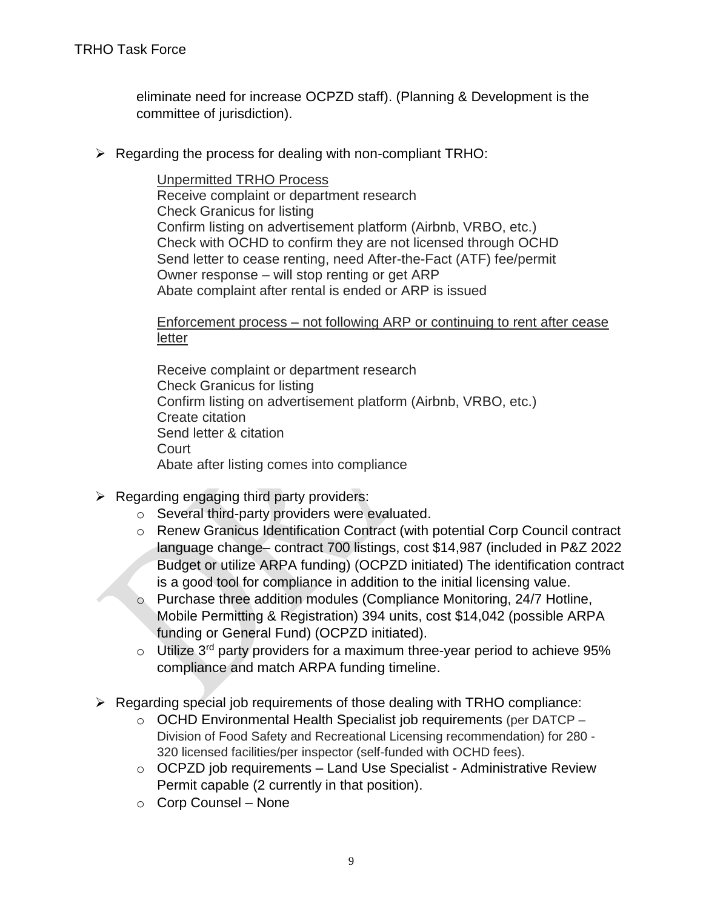eliminate need for increase OCPZD staff). (Planning & Development is the committee of jurisdiction).

 $\triangleright$  Regarding the process for dealing with non-compliant TRHO:

Unpermitted TRHO Process Receive complaint or department research Check Granicus for listing Confirm listing on advertisement platform (Airbnb, VRBO, etc.) Check with OCHD to confirm they are not licensed through OCHD Send letter to cease renting, need After-the-Fact (ATF) fee/permit Owner response – will stop renting or get ARP Abate complaint after rental is ended or ARP is issued

Enforcement process – not following ARP or continuing to rent after cease letter

Receive complaint or department research Check Granicus for listing Confirm listing on advertisement platform (Airbnb, VRBO, etc.) Create citation Send letter & citation **Court** Abate after listing comes into compliance

- $\triangleright$  Regarding engaging third party providers:
	- o Several third-party providers were evaluated.
	- o Renew Granicus Identification Contract (with potential Corp Council contract language change– contract 700 listings, cost \$14,987 (included in P&Z 2022 Budget or utilize ARPA funding) (OCPZD initiated) The identification contract is a good tool for compliance in addition to the initial licensing value.
	- o Purchase three addition modules (Compliance Monitoring, 24/7 Hotline, Mobile Permitting & Registration) 394 units, cost \$14,042 (possible ARPA funding or General Fund) (OCPZD initiated).
	- $\circ$  Utilize 3<sup>rd</sup> party providers for a maximum three-year period to achieve 95% compliance and match ARPA funding timeline.
- $\triangleright$  Regarding special job requirements of those dealing with TRHO compliance:
	- o OCHD Environmental Health Specialist job requirements (per DATCP Division of Food Safety and Recreational Licensing recommendation) for 280 - 320 licensed facilities/per inspector (self-funded with OCHD fees).
	- $\circ$  OCPZD job requirements Land Use Specialist Administrative Review Permit capable (2 currently in that position).
	- o Corp Counsel None